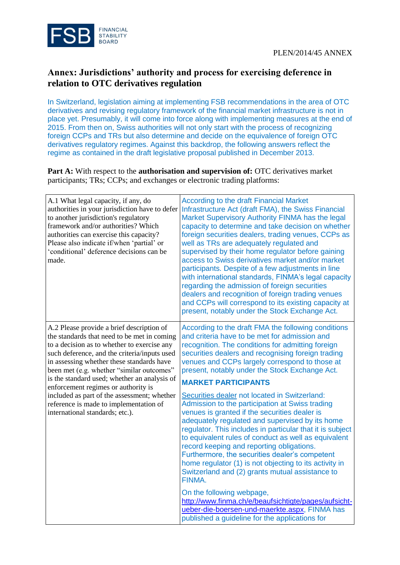

## **Annex: Jurisdictions' authority and process for exercising deference in relation to OTC derivatives regulation**

In Switzerland, legislation aiming at implementing FSB recommendations in the area of OTC derivatives and revising regulatory framework of the financial market infrastructure is not in place yet. Presumably, it will come into force along with implementing measures at the end of 2015. From then on, Swiss authorities will not only start with the process of recognizing foreign CCPs and TRs but also determine and decide on the equivalence of foreign OTC derivatives regulatory regimes. Against this backdrop, the following answers reflect the regime as contained in the draft legislative proposal published in December 2013.

**Part A:** With respect to the **authorisation and supervision of:** OTC derivatives market participants; TRs; CCPs; and exchanges or electronic trading platforms:

| A.1 What legal capacity, if any, do<br>authorities in your jurisdiction have to defer<br>to another jurisdiction's regulatory<br>framework and/or authorities? Which<br>authorities can exercise this capacity?<br>Please also indicate if/when 'partial' or<br>'conditional' deference decisions can be<br>made.                                                                                                                                                                                    | <b>According to the draft Financial Market</b><br>Infrastructure Act (draft FMA), the Swiss Financial<br>Market Supervisory Authority FINMA has the legal<br>capacity to determine and take decision on whether<br>foreign securities dealers, trading venues, CCPs as<br>well as TRs are adequately regulated and<br>supervised by their home regulator before gaining<br>access to Swiss derivatives market and/or market<br>participants. Despite of a few adjustments in line<br>with international standards, FINMA's legal capacity<br>regarding the admission of foreign securities<br>dealers and recognition of foreign trading venues<br>and CCPs will correspond to its existing capacity at<br>present, notably under the Stock Exchange Act. |
|------------------------------------------------------------------------------------------------------------------------------------------------------------------------------------------------------------------------------------------------------------------------------------------------------------------------------------------------------------------------------------------------------------------------------------------------------------------------------------------------------|-----------------------------------------------------------------------------------------------------------------------------------------------------------------------------------------------------------------------------------------------------------------------------------------------------------------------------------------------------------------------------------------------------------------------------------------------------------------------------------------------------------------------------------------------------------------------------------------------------------------------------------------------------------------------------------------------------------------------------------------------------------|
| A.2 Please provide a brief description of<br>the standards that need to be met in coming<br>to a decision as to whether to exercise any<br>such deference, and the criteria/inputs used<br>in assessing whether these standards have<br>been met (e.g. whether "similar outcomes"<br>is the standard used; whether an analysis of<br>enforcement regimes or authority is<br>included as part of the assessment; whether<br>reference is made to implementation of<br>international standards; etc.). | According to the draft FMA the following conditions<br>and criteria have to be met for admission and<br>recognition. The conditions for admitting foreign<br>securities dealers and recognising foreign trading<br>venues and CCPs largely correspond to those at<br>present, notably under the Stock Exchange Act.<br><b>MARKET PARTICIPANTS</b>                                                                                                                                                                                                                                                                                                                                                                                                         |
|                                                                                                                                                                                                                                                                                                                                                                                                                                                                                                      | Securities dealer not located in Switzerland:<br>Admission to the participation at Swiss trading<br>venues is granted if the securities dealer is<br>adequately regulated and supervised by its home<br>regulator. This includes in particular that it is subject<br>to equivalent rules of conduct as well as equivalent<br>record keeping and reporting obligations.<br>Furthermore, the securities dealer's competent<br>home regulator (1) is not objecting to its activity in<br>Switzerland and (2) grants mutual assistance to<br>FINMA.                                                                                                                                                                                                           |
|                                                                                                                                                                                                                                                                                                                                                                                                                                                                                                      | On the following webpage,<br>http://www.finma.ch/e/beaufsichtigte/pages/aufsicht-<br>ueber-die-boersen-und-maerkte.aspx, FINMA has<br>published a guideline for the applications for                                                                                                                                                                                                                                                                                                                                                                                                                                                                                                                                                                      |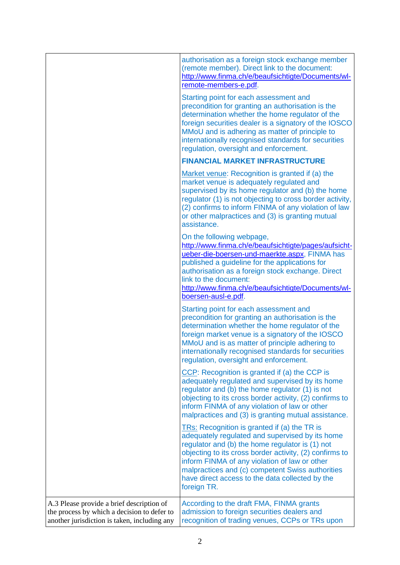|                                                                                                                                          | authorisation as a foreign stock exchange member<br>(remote member). Direct link to the document:<br>http://www.finma.ch/e/beaufsichtigte/Documents/wl-<br>remote-members-e.pdf.                                                                                                                                                                                                     |
|------------------------------------------------------------------------------------------------------------------------------------------|--------------------------------------------------------------------------------------------------------------------------------------------------------------------------------------------------------------------------------------------------------------------------------------------------------------------------------------------------------------------------------------|
|                                                                                                                                          | Starting point for each assessment and<br>precondition for granting an authorisation is the<br>determination whether the home regulator of the<br>foreign securities dealer is a signatory of the IOSCO<br>MMoU and is adhering as matter of principle to<br>internationally recognised standards for securities<br>regulation, oversight and enforcement.                           |
|                                                                                                                                          | <b>FINANCIAL MARKET INFRASTRUCTURE</b>                                                                                                                                                                                                                                                                                                                                               |
|                                                                                                                                          | Market venue: Recognition is granted if (a) the<br>market venue is adequately regulated and<br>supervised by its home regulator and (b) the home<br>regulator (1) is not objecting to cross border activity,<br>(2) confirms to inform FINMA of any violation of law<br>or other malpractices and (3) is granting mutual<br>assistance.                                              |
|                                                                                                                                          | On the following webpage,<br>http://www.finma.ch/e/beaufsichtigte/pages/aufsicht-<br>ueber-die-boersen-und-maerkte.aspx, FINMA has<br>published a guideline for the applications for<br>authorisation as a foreign stock exchange. Direct<br>link to the document:<br>http://www.finma.ch/e/beaufsichtigte/Documents/wl-<br>boersen-ausl-e.pdf.                                      |
|                                                                                                                                          | Starting point for each assessment and<br>precondition for granting an authorisation is the<br>determination whether the home regulator of the<br>foreign market venue is a signatory of the IOSCO<br>MMoU and is as matter of principle adhering to<br>internationally recognised standards for securities<br>regulation, oversight and enforcement.                                |
|                                                                                                                                          | CCP: Recognition is granted if (a) the CCP is<br>adequately regulated and supervised by its home<br>regulator and (b) the home regulator (1) is not<br>objecting to its cross border activity, (2) confirms to<br>inform FINMA of any violation of law or other<br>malpractices and (3) is granting mutual assistance.                                                               |
|                                                                                                                                          | TRs: Recognition is granted if (a) the TR is<br>adequately regulated and supervised by its home<br>regulator and (b) the home regulator is (1) not<br>objecting to its cross border activity, (2) confirms to<br>inform FINMA of any violation of law or other<br>malpractices and (c) competent Swiss authorities<br>have direct access to the data collected by the<br>foreign TR. |
| A.3 Please provide a brief description of<br>the process by which a decision to defer to<br>another jurisdiction is taken, including any | According to the draft FMA, FINMA grants<br>admission to foreign securities dealers and<br>recognition of trading venues, CCPs or TRs upon                                                                                                                                                                                                                                           |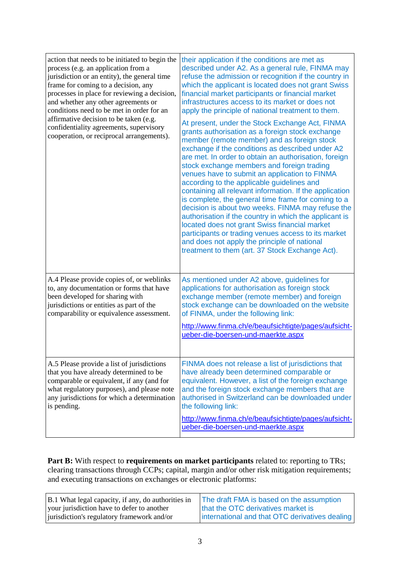| action that needs to be initiated to begin the<br>process (e.g. an application from a<br>jurisdiction or an entity), the general time<br>frame for coming to a decision, any<br>processes in place for reviewing a decision,<br>and whether any other agreements or<br>conditions need to be met in order for an<br>affirmative decision to be taken (e.g.<br>confidentiality agreements, supervisory<br>cooperation, or reciprocal arrangements). | their application if the conditions are met as<br>described under A2. As a general rule, FINMA may<br>refuse the admission or recognition if the country in<br>which the applicant is located does not grant Swiss<br>financial market participants or financial market<br>infrastructures access to its market or does not<br>apply the principle of national treatment to them.<br>At present, under the Stock Exchange Act, FINMA<br>grants authorisation as a foreign stock exchange<br>member (remote member) and as foreign stock<br>exchange if the conditions as described under A2<br>are met. In order to obtain an authorisation, foreign<br>stock exchange members and foreign trading<br>venues have to submit an application to FINMA<br>according to the applicable guidelines and<br>containing all relevant information. If the application<br>is complete, the general time frame for coming to a<br>decision is about two weeks. FINMA may refuse the<br>authorisation if the country in which the applicant is<br>located does not grant Swiss financial market<br>participants or trading venues access to its market<br>and does not apply the principle of national<br>treatment to them (art. 37 Stock Exchange Act). |
|----------------------------------------------------------------------------------------------------------------------------------------------------------------------------------------------------------------------------------------------------------------------------------------------------------------------------------------------------------------------------------------------------------------------------------------------------|-----------------------------------------------------------------------------------------------------------------------------------------------------------------------------------------------------------------------------------------------------------------------------------------------------------------------------------------------------------------------------------------------------------------------------------------------------------------------------------------------------------------------------------------------------------------------------------------------------------------------------------------------------------------------------------------------------------------------------------------------------------------------------------------------------------------------------------------------------------------------------------------------------------------------------------------------------------------------------------------------------------------------------------------------------------------------------------------------------------------------------------------------------------------------------------------------------------------------------------------------|
| A.4 Please provide copies of, or weblinks<br>to, any documentation or forms that have<br>been developed for sharing with<br>jurisdictions or entities as part of the<br>comparability or equivalence assessment.                                                                                                                                                                                                                                   | As mentioned under A2 above, guidelines for<br>applications for authorisation as foreign stock<br>exchange member (remote member) and foreign<br>stock exchange can be downloaded on the website<br>of FINMA, under the following link:<br>http://www.finma.ch/e/beaufsichtigte/pages/aufsicht-<br>ueber-die-boersen-und-maerkte.aspx                                                                                                                                                                                                                                                                                                                                                                                                                                                                                                                                                                                                                                                                                                                                                                                                                                                                                                         |
| A.5 Please provide a list of jurisdictions<br>that you have already determined to be<br>comparable or equivalent, if any (and for<br>what regulatory purposes), and please note<br>any jurisdictions for which a determination<br>is pending.                                                                                                                                                                                                      | FINMA does not release a list of jurisdictions that<br>have already been determined comparable or<br>equivalent. However, a list of the foreign exchange<br>and the foreign stock exchange members that are<br>authorised in Switzerland can be downloaded under<br>the following link:<br>http://www.finma.ch/e/beaufsichtigte/pages/aufsicht-<br>ueber-die-boersen-und-maerkte.aspx                                                                                                                                                                                                                                                                                                                                                                                                                                                                                                                                                                                                                                                                                                                                                                                                                                                         |

**Part B:** With respect to **requirements on market participants** related to: reporting to TRs; clearing transactions through CCPs; capital, margin and/or other risk mitigation requirements; and executing transactions on exchanges or electronic platforms:

| B.1 What legal capacity, if any, do authorities in | The draft FMA is based on the assumption       |
|----------------------------------------------------|------------------------------------------------|
| your jurisdiction have to defer to another         | that the OTC derivatives market is             |
| jurisdiction's regulatory framework and/or         | international and that OTC derivatives dealing |